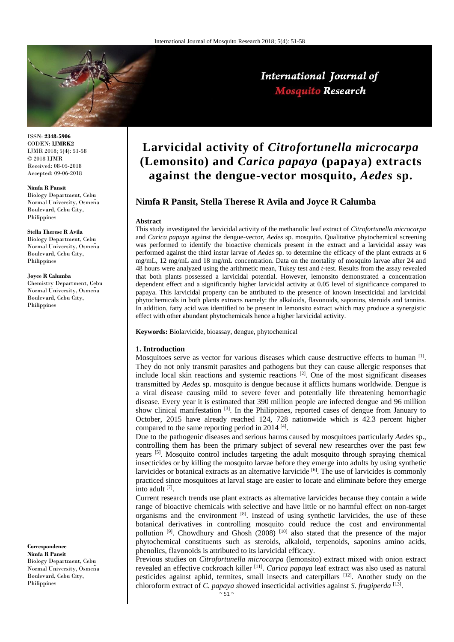

ISSN: **2348-5906** CODEN: **IJMRK2** IJMR 2018; 5(4): 51-58 © 2018 IJMR Received: 08-05-2018 Accepted: 09-06-2018

#### **Nimfa R Pansit**

Biology Department, Cebu Normal University, Osmeña Boulevard, Cebu City, Philippines

#### **Stella Therese R Avila**

Biology Department, Cebu Normal University, Osmeña Boulevard, Cebu City, Philippines

#### **Joyce R Calumba**

Chemistry Department, Cebu Normal University, Osmeña Boulevard, Cebu City, Philippines

**Correspondence Nimfa R Pansit** Biology Department, Cebu Normal University, Osmeña Boulevard, Cebu City, Philippines

# **Larvicidal activity of** *Citrofortunella microcarpa* **(Lemonsito) and** *Carica papaya* **(papaya) extracts against the dengue-vector mosquito,** *Aedes* **sp.**

## **Nimfa R Pansit, Stella Therese R Avila and Joyce R Calumba**

#### **Abstract**

This study investigated the larvicidal activity of the methanolic leaf extract of *Citrofortunella microcarpa* and *Carica papaya* against the dengue-vector, *Aedes* sp. mosquito. Qualitative phytochemical screening was performed to identify the bioactive chemicals present in the extract and a larvicidal assay was performed against the third instar larvae of *Aedes* sp. to determine the efficacy of the plant extracts at 6 mg/mL, 12 mg/mL and 18 mg/mL concentration. Data on the mortality of mosquito larvae after 24 and 48 hours were analyzed using the arithmetic mean, Tukey test and *t*-test. Results from the assay revealed that both plants possessed a larvicidal potential. However, lemonsito demonstrated a concentration dependent effect and a significantly higher larvicidal activity at 0.05 level of significance compared to papaya. This larvicidal property can be attributed to the presence of known insecticidal and larvicidal phytochemicals in both plants extracts namely: the alkaloids, flavonoids, saponins, steroids and tannins. In addition, fatty acid was identified to be present in lemonsito extract which may produce a synergistic effect with other abundant phytochemicals hence a higher larvicidal activity.

**Keywords:** Biolarvicide, bioassay, dengue, phytochemical

#### **1. Introduction**

Mosquitoes serve as vector for various diseases which cause destructive effects to human  $^{[1]}$ . They do not only transmit parasites and pathogens but they can cause allergic responses that include local skin reactions and systemic reactions  $\frac{2}{2}$ . One of the most significant diseases transmitted by *Aedes* sp. mosquito is dengue because it afflicts humans worldwide. Dengue is a viral disease causing mild to severe fever and potentially life threatening hemorrhagic disease. Every year it is estimated that 390 million people are infected dengue and 96 million show clinical manifestation  $[3]$ . In the Philippines, reported cases of dengue from January to October, 2015 have already reached 124, 728 nationwide which is 42.3 percent higher compared to the same reporting period in 2014 $[4]$ .

Due to the pathogenic diseases and serious harms caused by mosquitoes particularly *Aedes* sp., controlling them has been the primary subject of several new researches over the past few years <sup>[5]</sup>. Mosquito control includes targeting the adult mosquito through spraying chemical insecticides or by killing the mosquito larvae before they emerge into adults by using synthetic larvicides or botanical extracts as an alternative larvicide [6]. The use of larvicides is commonly practiced since mosquitoes at larval stage are easier to locate and eliminate before they emerge into adult [7] .

Current research trends use plant extracts as alternative larvicides because they contain a wide range of bioactive chemicals with selective and have little or no harmful effect on non-target organisms and the environment  $[8]$ . Instead of using synthetic larvicides, the use of these botanical derivatives in controlling mosquito could reduce the cost and environmental pollution<sup>[9]</sup>. Chowdhury and Ghosh (2008)<sup>[10]</sup> also stated that the presence of the major phytochemical constituents such as steroids, alkaloid, terpenoids, saponins amino acids, phenolics, flavonoids is attributed to its larvicidal efficacy.

Previous studies on *Citrofortunella microcarpa* (lemonsito) extract mixed with onion extract revealed an effective cockroach killer [11] . *Carica papaya* leaf extract was also used as natural pesticides against aphid, termites, small insects and caterpillars [12]. Another study on the chloroform extract of *C. papaya s*howed insecticidal activities against *S. frugiperda* [13] .

## International Journal of **Mosquito Research**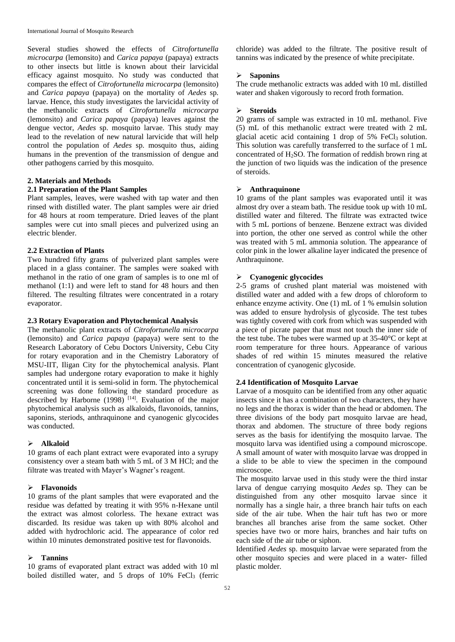Several studies showed the effects of *Citrofortunella microcarpa* (lemonsito) and *Carica papaya* (papaya) extracts to other insects but little is known about their larvicidal efficacy against mosquito. No study was conducted that compares the effect of *Citrofortunella microcarpa* (lemonsito) and *Carica papaya* (papaya) on the mortality of *Aedes* sp*.*  larvae. Hence, this study investigates the larvicidal activity of the methanolic extracts of *Citrofortunella microcarpa* (lemonsito) and *Carica papaya* (papaya) leaves against the dengue vector, *Aedes* sp. mosquito larvae. This study may lead to the revelation of new natural larvicide that will help control the population of *Aedes* sp. mosquito thus, aiding humans in the prevention of the transmission of dengue and other pathogens carried by this mosquito.

## **2. Materials and Methods**

## **2.1 Preparation of the Plant Samples**

Plant samples, leaves, were washed with tap water and then rinsed with distilled water. The plant samples were air dried for 48 hours at room temperature. Dried leaves of the plant samples were cut into small pieces and pulverized using an electric blender.

## **2.2 Extraction of Plants**

Two hundred fifty grams of pulverized plant samples were placed in a glass container. The samples were soaked with methanol in the ratio of one gram of samples is to one ml of methanol (1:1) and were left to stand for 48 hours and then filtered. The resulting filtrates were concentrated in a rotary evaporator.

## **2.3 Rotary Evaporation and Phytochemical Analysis**

The methanolic plant extracts of *Citrofortunella microcarpa* (lemonsito) and *Carica papaya* (papaya) were sent to the Research Laboratory of Cebu Doctors University, Cebu City for rotary evaporation and in the Chemistry Laboratory of MSU-IIT, Iligan City for the phytochemical analysis. Plant samples had undergone rotary evaporation to make it highly concentrated until it is semi-solid in form. The phytochemical screening was done following the standard procedure as described by Harborne  $(1998)$ <sup>[14]</sup>. Evaluation of the major phytochemical analysis such as alkaloids, flavonoids, tannins, saponins, steriods, anthraquinone and cyanogenic glycocides was conducted.

#### **Alkaloid**

10 grams of each plant extract were evaporated into a syrupy consistency over a steam bath with 5 mL of 3 M HCl; and the filtrate was treated with Mayer's Wagner's reagent.

#### **Flavonoids**

10 grams of the plant samples that were evaporated and the residue was defatted by treating it with 95% n-Hexane until the extract was almost colorless. The hexane extract was discarded. Its residue was taken up with 80% alcohol and added with hydrochloric acid. The appearance of color red within 10 minutes demonstrated positive test for flavonoids.

## **Tannins**

10 grams of evaporated plant extract was added with 10 ml boiled distilled water, and 5 drops of 10% FeCl<sub>3</sub> (ferric

chloride) was added to the filtrate. The positive result of tannins was indicated by the presence of white precipitate.

## **Saponins**

The crude methanolic extracts was added with 10 mL distilled water and shaken vigorously to record froth formation.

#### **Steroids**

20 grams of sample was extracted in 10 mL methanol. Five (5) mL of this methanolic extract were treated with 2 mL glacial acetic acid containing 1 drop of  $5\%$  FeCl<sub>3</sub> solution. This solution was carefully transferred to the surface of 1 mL concentrated of  $H_2$ SO. The formation of reddish brown ring at the junction of two liquids was the indication of the presence of steroids.

## **Anthraquinone**

10 grams of the plant samples was evaporated until it was almost dry over a steam bath. The residue took up with 10 mL distilled water and filtered. The filtrate was extracted twice with 5 mL portions of benzene. Benzene extract was divided into portion, the other one served as control while the other was treated with 5 mL ammonia solution. The appearance of color pink in the lower alkaline layer indicated the presence of Anthraquinone.

## **Cyanogenic glycocides**

2-5 grams of crushed plant material was moistened with distilled water and added with a few drops of chloroform to enhance enzyme activity. One (1) mL of 1 % emulsin solution was added to ensure hydrolysis of glycoside. The test tubes was tightly covered with cork from which was suspended with a piece of picrate paper that must not touch the inner side of the test tube. The tubes were warmed up at 35-40°C or kept at room temperature for three hours. Appearance of various shades of red within 15 minutes measured the relative concentration of cyanogenic glycoside.

#### **2.4 Identification of Mosquito Larvae**

Larvae of a mosquito can be identified from any other aquatic insects since it has a combination of two characters, they have no legs and the thorax is wider than the head or abdomen. The three divisions of the body part mosquito larvae are head, thorax and abdomen. The structure of three body regions serves as the basis for identifying the mosquito larvae. The mosquito larva was identified using a compound microscope. A small amount of water with mosquito larvae was dropped in a slide to be able to view the specimen in the compound microscope.

The mosquito larvae used in this study were the third instar larva of dengue carrying mosquito *Aedes* sp. They can be distinguished from any other mosquito larvae since it normally has a single hair, a three branch hair tufts on each side of the air tube. When the hair tuft has two or more branches all branches arise from the same socket. Other species have two or more hairs, branches and hair tufts on each side of the air tube or siphon.

Identified *Aedes* sp. mosquito larvae were separated from the other mosquito species and were placed in a water- filled plastic molder.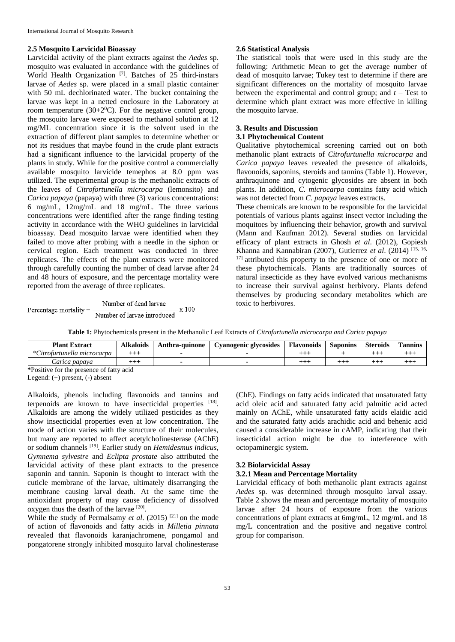#### **2.5 Mosquito Larvicidal Bioassay**

Larvicidal activity of the plant extracts against the *Aedes* sp. mosquito was evaluated in accordance with the guidelines of World Health Organization<sup>[7]</sup>. Batches of 25 third-instars larvae of *Aedes* sp. were placed in a small plastic container with 50 mL dechlorinated water. The bucket containing the larvae was kept in a netted enclosure in the Laboratory at room temperature (30 $\pm 2^0$ C). For the negative control group, the mosquito larvae were exposed to methanol solution at 12 mg/ML concentration since it is the solvent used in the extraction of different plant samples to determine whether or not its residues that maybe found in the crude plant extracts had a significant influence to the larvicidal property of the plants in study. While for the positive control a commercially available mosquito larvicide temephos at 8.0 ppm was utilized. The experimental group is the methanolic extracts of the leaves of *Citrofortunella microcarpa* (lemonsito) and *Carica papaya* (papaya) with three (3) various concentrations: 6 mg/mL, 12mg/mL and 18 mg/mL. The three various concentrations were identified after the range finding testing activity in accordance with the WHO guidelines in larvicidal bioassay. Dead mosquito larvae were identified when they failed to move after probing with a needle in the siphon or cervical region. Each treatment was conducted in three replicates. The effects of the plant extracts were monitored through carefully counting the number of dead larvae after 24 and 48 hours of exposure, and the percentage mortality were reported from the average of three replicates.

$$
Percentage mortality = \frac{Number of dead larvae}{Number of larvae introduced} \times 100
$$

#### **2.6 Statistical Analysis**

The statistical tools that were used in this study are the following: Arithmetic Mean to get the average number of dead of mosquito larvae; Tukey test to determine if there are significant differences on the mortality of mosquito larvae between the experimental and control group; and  $t -$  Test to determine which plant extract was more effective in killing the mosquito larvae.

#### **3. Results and Discussion**

## **3.1 Phytochemical Content**

Qualitative phytochemical screening carried out on both methanolic plant extracts of *Citrofurtunella microcarpa* and *Carica papaya* leaves revealed the presence of alkaloids, flavonoids, saponins, steroids and tannins (Table 1). However, anthraquinone and cytogenic glycosides are absent in both plants. In addition, *C. microcarpa* contains fatty acid which was not detected from *C. papaya* leaves extracts.

These chemicals are known to be responsible for the larvicidal potentials of various plants against insect vector including the moquitoes by influencing their behavior, growth and survival (Mann and Kaufman 2012). Several studies on larvicidal efficacy of plant extracts in Ghosh *et al*. (2012), Gopiesh Khanna and Kannabiran (2007), Gutierrez *et al*. (2014) [15, 16, <sup>17]</sup> attributed this property to the presence of one or more of these phytochemicals. Plants are traditionally sources of natural insecticide as they have evolved various mechanisms to increase their survival against herbivory. Plants defend themselves by producing secondary metabolites which are toxic to herbivores.

| Table 1: Phytochemicals present in the Methanolic Leaf Extracts of Citrofurtunella microcarpa and Carica papaya |  |  |  |
|-----------------------------------------------------------------------------------------------------------------|--|--|--|
|-----------------------------------------------------------------------------------------------------------------|--|--|--|

| <b>Plant Extract</b>                     | <b>Alkaloids</b> | Anthra-quinone | Cyanogenic glycosides | <b>Flavonoids</b> | <b>Saponins</b> | <b>Steroids</b> | Tannins     |
|------------------------------------------|------------------|----------------|-----------------------|-------------------|-----------------|-----------------|-------------|
| *Citrofurtunella microcarpa              | $^{+++}$         |                |                       | $^{+++}$          |                 |                 | $^{\rm ++}$ |
| Carica papaya                            | $^{+++}$         |                |                       | $^{+++}$          |                 |                 |             |
| *Positive for the presence of fatty acid |                  |                |                       |                   |                 |                 |             |

Legend: (+) present, (-) absent

Alkaloids, phenols including flavonoids and tannins and terpenoids are known to have insecticidal properties [18]. Alkaloids are among the widely utilized pesticides as they show insecticidal properties even at low concentration. The mode of action varies with the structure of their molecules, but many are reported to affect acetylcholinesterase (AChE) or sodium channels [19] . Earlier study on *Hemidesmus indicus*, *Gymnema sylvestre* and *Eclipta prostate* also attributed the larvicidal activity of these plant extracts to the presence saponin and tannin. Saponin is thought to interact with the cuticle membrane of the larvae, ultimately disarranging the membrane causing larval death. At the same time the antioxidant property of may cause deficiency of dissolved oxygen thus the death of the larvae  $[20]$ .

While the study of Permalsamy *et al.* (2015)<sup>[21]</sup> on the mode of action of flavonoids and fatty acids in *Milletia pinnata*  revealed that flavonoids karanjachromene, pongamol and pongatorene strongly inhibited mosquito larval cholinesterase

(ChE). Findings on fatty acids indicated that unsaturated fatty acid oleic acid and saturated fatty acid palmitic acid acted mainly on AChE, while unsaturated fatty acids elaidic acid and the saturated fatty acids arachidic acid and behenic acid caused a considerable increase in cAMP, indicating that their insecticidal action might be due to interference with octopaminergic system.

#### **3.2 Biolarvicidal Assay**

## **3.2.1 Mean and Percentage Mortality**

Larvicidal efficacy of both methanolic plant extracts against *Aedes* sp. was determined through mosquito larval assay. Table 2 shows the mean and percentage mortality of mosquito larvae after 24 hours of exposure from the various concentrations of plant extracts at 6mg/mL, 12 mg/mL and 18 mg/L concentration and the positive and negative control group for comparison.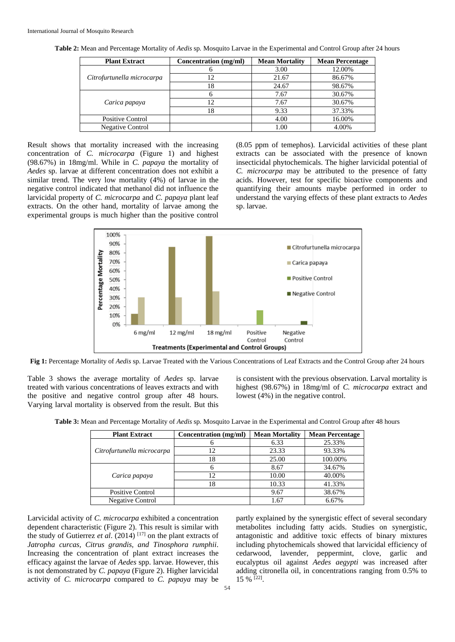| <b>Plant Extract</b>       | Concentration (mg/ml) | <b>Mean Mortality</b> | <b>Mean Percentage</b> |
|----------------------------|-----------------------|-----------------------|------------------------|
|                            |                       | 3.00                  | 12.00%                 |
| Citrofurtunella microcarpa | 12                    | 21.67                 | 86.67%                 |
|                            | 18                    | 24.67                 | 98.67%                 |
|                            |                       | 7.67                  | 30.67%                 |
| Carica papaya              | 12                    | 7.67                  | 30.67%                 |
|                            | 18                    | 9.33                  | 37.33%                 |
| Positive Control           |                       | 4.00                  | 16.00%                 |
| <b>Negative Control</b>    |                       | 1.00                  | 4.00%                  |

**Table 2:** Mean and Percentage Mortality of *Aedis* sp*.* Mosquito Larvae in the Experimental and Control Group after 24 hours

Result shows that mortality increased with the increasing concentration of *C. microcarpa* (Figure 1) and highest (98.67%) in 18mg/ml. While in *C. papaya* the mortality of *Aedes* sp. larvae at different concentration does not exhibit a similar trend. The very low mortality (4%) of larvae in the negative control indicated that methanol did not influence the larvicidal property of *C. microcarpa* and *C. papaya* plant leaf extracts. On the other hand, mortality of larvae among the experimental groups is much higher than the positive control

(8.05 ppm of temephos). Larvicidal activities of these plant extracts can be associated with the presence of known insecticidal phytochemicals. The higher larvicidal potential of *C. microcarpa* may be attributed to the presence of fatty acids. However, test for specific bioactive components and quantifying their amounts maybe performed in order to understand the varying effects of these plant extracts to *Aedes*  sp. larvae.



**Fig 1:** Percentage Mortality of *Aedis* sp. Larvae Treated with the Various Concentrations of Leaf Extracts and the Control Group after 24 hours

Table 3 shows the average mortality of *Aedes* sp. larvae treated with various concentrations of leaves extracts and with the positive and negative control group after 48 hours. Varying larval mortality is observed from the result. But this

is consistent with the previous observation. Larval mortality is highest (98.67%) in 18mg/ml of *C. microcarpa* extract and lowest  $(4\%)$  in the negative control.

**Table 3:** Mean and Percentage Mortality of *Aedis* sp*.* Mosquito Larvae in the Experimental and Control Group after 48 hours

| <b>Plant Extract</b>       | Concentration (mg/ml) | <b>Mean Mortality</b> | <b>Mean Percentage</b> |
|----------------------------|-----------------------|-----------------------|------------------------|
|                            |                       | 6.33                  | 25.33%                 |
| Citrofurtunella microcarpa |                       | 23.33                 | 93.33%                 |
|                            | 18                    | 25.00                 | 100.00%                |
|                            |                       | 8.67                  | 34.67%                 |
| Carica papaya              | 12                    | 10.00                 | 40.00%                 |
|                            | 18                    | 10.33                 | 41.33%                 |
| <b>Positive Control</b>    |                       | 9.67                  | 38.67%                 |
| <b>Negative Control</b>    |                       | 1.67                  | 6.67%                  |

Larvicidal activity of *C. microcarpa* exhibited a concentration dependent characteristic (Figure 2). This result is similar with the study of Gutierrez *et al*. (2014) [17] on the plant extracts of *Jatropha curcas, Citrus grandis, and Tinosphora rumphii*. Increasing the concentration of plant extract increases the efficacy against the larvae of *Aedes* spp. larvae. However, this is not demonstrated by *C. papaya* (Figure 2). Higher larvicidal activity of *C. microcarpa* compared to *C. papaya* may be partly explained by the synergistic effect of several secondary metabolites including fatty acids. Studies on synergistic, antagonistic and additive toxic effects of binary mixtures including phytochemicals showed that larvicidal efficiency of cedarwood, lavender, peppermint, clove, garlic and eucalyptus oil against *Aedes aegypti* was increased after adding citronella oil, in concentrations ranging from 0.5% to 15 % [22] .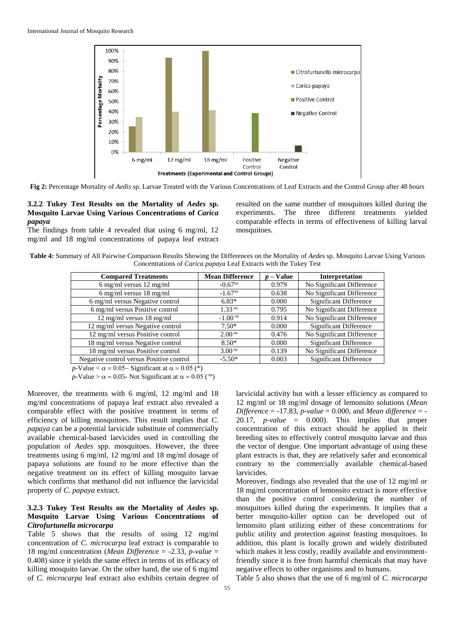

**Fig 2:** Percentage Mortality of *Aedis* sp. Larvae Treated with the Various Concentrations of Leaf Extracts and the Control Group after 48 hours

## **3.2.2 Tukey Test Results on the Mortality of** *Aedes* **sp. Mosquito Larvae Using Various Concentrations of** *Carica papaya*

The findings from table 4 revealed that using 6 mg/ml, 12 mg/ml and 18 mg/ml concentrations of papaya leaf extract resulted on the same number of mosquitoes killed during the experiments. The three different treatments yielded comparable effects in terms of effectiveness of killing larval mosquitoes.

**Table 4:** Summary of All Pairwise Comparison Results Showing the Differences on the Mortality of *Aedes* sp. Mosquito Larvae Using Various Concentrations of *Carica papaya* Leaf Extracts with the Tukey Test

| <b>Compared Treatments</b>                   | <b>Mean Difference</b> | p – Value | <b>Interpretation</b>         |
|----------------------------------------------|------------------------|-----------|-------------------------------|
| 6 mg/ml versus $12 \text{ mg/ml}$            | $-0.67^{ns}$           | 0.979     | No Significant Difference     |
| 6 mg/ml versus $18 \text{ mg/ml}$            | $-1.67^{ns}$           | 0.638     | No Significant Difference     |
| 6 mg/ml versus Negative control              | $6.83*$                | 0.000     | <b>Significant Difference</b> |
| 6 mg/ml versus Positive control              | 1.33 <sup>ns</sup>     | 0.795     | No Significant Difference     |
| $12 \text{ mg/ml}$ versus $18 \text{ mg/ml}$ | $-1.00^{ns}$           | 0.914     | No Significant Difference     |
| 12 mg/ml versus Negative control             | $7.50*$                | 0.000     | <b>Significant Difference</b> |
| 12 mg/ml versus Positive control             | $2.00^{ns}$            | 0.476     | No Significant Difference     |
| 18 mg/ml versus Negative control             | $8.50*$                | 0.000     | <b>Significant Difference</b> |
| 18 mg/ml versus Positive control             | $3.00^{ns}$            | 0.139     | No Significant Difference     |
| Negative control versus Positive control     | $-5.50*$               | 0.003     | <b>Significant Difference</b> |

*p*-Value  $< \alpha$  = 0.05– Significant at  $\alpha$  = 0.05 (\*)

 $p$ -Value >  $\alpha$  = 0.05- Not Significant at  $\alpha$  = 0.05 (<sup>ns</sup>)

Moreover, the treatments with 6 mg/ml, 12 mg/ml and 18 mg/ml concentrations of papaya leaf extract also revealed a comparable effect with the positive treatment in terms of efficiency of killing mosquitoes. This result implies that *C. papaya* can be a potential larvicide substitute of commercially available chemical-based larvicides used in controlling the population of *Aedes* spp. mosquitoes. However, the three treatments using 6 mg/ml, 12 mg/ml and 18 mg/ml dosage of papaya solutions are found to be more effective than the negative treatment on its effect of killing mosquito larvae which confirms that methanol did not influence the larvicidal property of *C. papaya* extract.

## **3.2.3 Tukey Test Results on the Mortality of** *Aedes* **sp. Mosquito Larvae Using Various Concentrations of**  *Citrofurtunella microcarpa*

Table 5 shows that the results of using 12 mg/ml concentration of *C. microcarpa* leaf extract is comparable to 18 mg/ml concentration (*Mean Difference* = -2.33, *p-value* = 0.408) since it yields the same effect in terms of its efficacy of killing mosquito larvae. On the other hand, the use of 6 mg/ml of *C. microcarpa* leaf extract also exhibits certain degree of larvicidal activity but with a lesser efficiency as compared to 12 mg/ml or 18 mg/ml dosage of lemonsito solutions (*Mean Difference* = -17.83, *p-value* = 0.000, and *Mean difference* = - 20.17, *p-value* = 0.000). This implies that proper concentration of this extract should be applied in their breeding sites to effectively control mosquito larvae and thus the vector of dengue. One important advantage of using these plant extracts is that, they are relatively safer and economical contrary to the commercially available chemical-based larvicides.

Moreover, findings also revealed that the use of 12 mg/ml or 18 mg/ml concentration of lemonsito extract is more effective than the positive control considering the number of mosquitoes killed during the experiments. It implies that a better mosquito-killer option can be developed out of lemonsito plant utilizing either of these concentrations for public utility and protection against feasting mosquitoes. In addition, this plant is locally grown and widely distributed which makes it less costly, readily available and environmentfriendly since it is free from harmful chemicals that may have negative effects to other organisms and to humans.

Table 5 also shows that the use of 6 mg/ml of *C. microcarpa*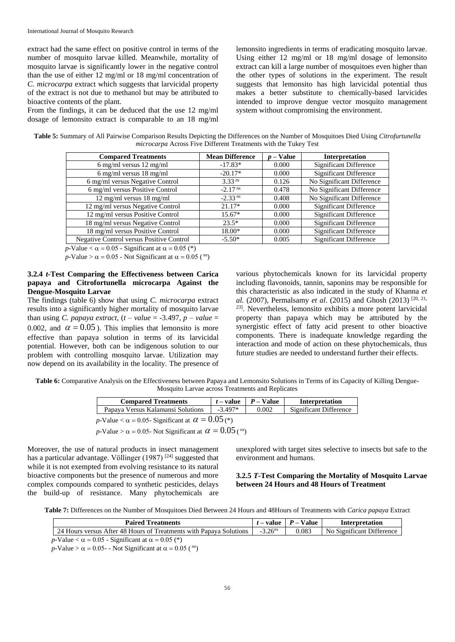extract had the same effect on positive control in terms of the number of mosquito larvae killed. Meanwhile, mortality of mosquito larvae is significantly lower in the negative control than the use of either 12 mg/ml or 18 mg/ml concentration of *C. microcarpa* extract which suggests that larvicidal property of the extract is not due to methanol but may be attributed to bioactive contents of the plant.

From the findings, it can be deduced that the use 12 mg/ml dosage of lemonsito extract is comparable to an 18 mg/ml

lemonsito ingredients in terms of eradicating mosquito larvae. Using either 12 mg/ml or 18 mg/ml dosage of lemonsito extract can kill a large number of mosquitoes even higher than the other types of solutions in the experiment. The result suggests that lemonsito has high larvicidal potential thus makes a better substitute to chemically-based larvicides intended to improve dengue vector mosquito management system without compromising the environment.

**Table 5:** Summary of All Pairwise Comparison Results Depicting the Differences on the Number of Mosquitoes Died Using *Citrofurtunella microcarpa* Across Five Different Treatments with the Tukey Test

| <b>Compared Treatments</b>                      | <b>Mean Difference</b> | $p$ – Value | <b>Interpretation</b>         |
|-------------------------------------------------|------------------------|-------------|-------------------------------|
| 6 mg/ml versus $12 \text{ mg/ml}$               | $-17.83*$              | 0.000       | <b>Significant Difference</b> |
| 6 mg/ml versus $18 \text{ mg/ml}$               | $-20.17*$              | 0.000       | <b>Significant Difference</b> |
| 6 mg/ml versus Negative Control                 | 3.33 <sup>ns</sup>     | 0.126       | No Significant Difference     |
| 6 mg/ml versus Positive Control                 | $-2.17ns$              | 0.478       | No Significant Difference     |
| $12 \text{ mg/ml}$ versus $18 \text{ mg/ml}$    | $-2.33^{ns}$           | 0.408       | No Significant Difference     |
| 12 mg/ml versus Negative Control                | $21.17*$               | 0.000       | <b>Significant Difference</b> |
| 12 mg/ml versus Positive Control                | $15.67*$               | 0.000       | <b>Significant Difference</b> |
| 18 mg/ml versus Negative Control                | $23.5*$                | 0.000       | <b>Significant Difference</b> |
| 18 mg/ml versus Positive Control                | 18.00*                 | 0.000       | <b>Significant Difference</b> |
| <b>Negative Control versus Positive Control</b> | $-5.50*$               | 0.005       | <b>Significant Difference</b> |

 $p$ -Value  $< \alpha$  = 0.05 - Significant at  $\alpha$  = 0.05 (\*)

 $p$ -Value >  $\alpha = 0.05$  - Not Significant at  $\alpha = 0.05$  (<sup>ns</sup>)

## **3.2.4** *t***-Test Comparing the Effectiveness between Carica papaya and Citrofortunella microcarpa Against the Dengue-Mosquito Larvae**

The findings (table 6) show that using *C. microcarpa* extract results into a significantly higher mortality of mosquito larvae than using *C. papaya extract*,  $(t - value = -3.497, p - value =$ 0.002, and  $\alpha = 0.05$ ). This implies that lemonsito is more effective than papaya solution in terms of its larvicidal potential. However, both can be indigenous solution to our problem with controlling mosquito larvae. Utilization may now depend on its availability in the locality. The presence of

various phytochemicals known for its larvicidal property including flavonoids, tannin, saponins may be responsible for this characteristic as also indicated in the study of Khanna *et al*. (2007), Permalsamy *et al*. (2015) and Ghosh (2013) [20, 21, 23] . Nevertheless, lemonsito exhibits a more potent larvicidal property than papaya which may be attributed by the synergistic effect of fatty acid present to other bioactive components. There is inadequate knowledge regarding the interaction and mode of action on these phytochemicals, thus future studies are needed to understand further their effects.

**Table 6:** Comparative Analysis on the Effectiveness between Papaya and Lemonsito Solutions in Terms of its Capacity of Killing Dengue-Mosquito Larvae across Treatments and Replicates

| <b>Compared Treatments</b>                                    | $t$ – value | $P - Value$ | Interpretation                |  |  |  |
|---------------------------------------------------------------|-------------|-------------|-------------------------------|--|--|--|
| Papaya Versus Kalamansi Solutions                             | $-3.497*$   | 0.002       | <b>Significant Difference</b> |  |  |  |
| p-Value < $\alpha$ = 0.05- Significant at $\alpha$ = 0.05 (*) |             |             |                               |  |  |  |

 $p$ -Value >  $\alpha$  = 0.05- Not Significant at  $\alpha = 0.05$  (<sup>ns</sup>)

Moreover, the use of natural products in insect management has a particular advantage. Völlinger (1987)<sup>[24]</sup> suggested that while it is not exempted from evolving resistance to its natural bioactive components but the presence of numerous and more complex compounds compared to synthetic pesticides, delays the build-up of resistance. Many phytochemicals are

unexplored with target sites selective to insects but safe to the environment and humans.

## **3.2.5** *T***-Test Comparing the Mortality of Mosquito Larvae between 24 Hours and 48 Hours of Treatment**

**Table 7:** Differences on the Number of Mosquitoes Died Between 24 Hours and 48Hours of Treatments with *Carica papaya* Extract

| <b>Paired Treatments</b>                                           |              | $t$ – value $\parallel$ P – Value | Interpretation            |
|--------------------------------------------------------------------|--------------|-----------------------------------|---------------------------|
| 24 Hours versus After 48 Hours of Treatments with Papaya Solutions | $-3.26^{ns}$ | 0.083                             | No Significant Difference |
| p-Value $< \alpha = 0.05$ - Significant at $\alpha = 0.05$ (*)     |              |                                   |                           |

 $p$ -Value >  $\alpha = 0.05$ - - Not Significant at  $\alpha = 0.05$  (<sup>ns</sup>)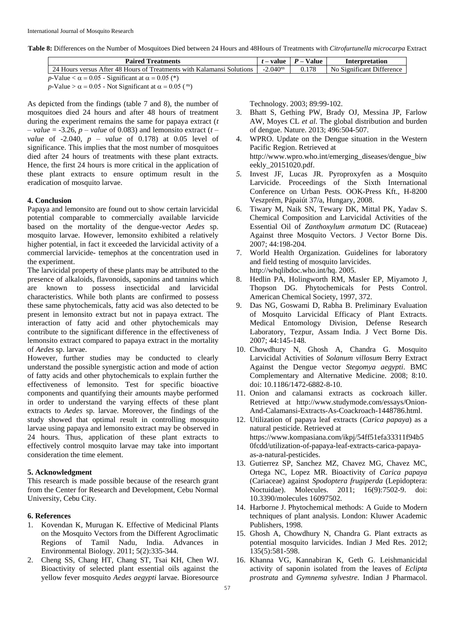**Table 8:** Differences on the Number of Mosquitoes Died between 24 Hours and 48Hours of Treatments with *Citrofurtunella microcarpa* Extract

| <b>Paired Treatments</b>                                              |  | $t$ – value $\parallel$ P – Value | Interpretation            |
|-----------------------------------------------------------------------|--|-----------------------------------|---------------------------|
| 24 Hours versus After 48 Hours of Treatments with Kalamansi Solutions |  | 0.178                             | No Significant Difference |
| p-Value $< \alpha = 0.05$ - Significant at $\alpha = 0.05$ (*)        |  |                                   |                           |

 $p$ -Value >  $\alpha$  = 0.05 - Not Significant at  $\alpha$  = 0.05 (<sup>ns</sup>)

As depicted from the findings (table 7 and 8), the number of mosquitoes died 24 hours and after 48 hours of treatment during the experiment remains the same for papaya extract (*t – value* = -3.26, *p – value* of 0.083) and lemonsito extract (*t – value* of -2.040, *p – value* of 0.178) at 0.05 level of significance. This implies that the most number of mosquitoes died after 24 hours of treatments with these plant extracts. Hence, the first 24 hours is more critical in the application of these plant extracts to ensure optimum result in the eradication of mosquito larvae.

#### **4. Conclusion**

Papaya and lemonsito are found out to show certain larvicidal potential comparable to commercially available larvicide based on the mortality of the dengue-vector *Aedes* sp. mosquito larvae. However, lemonsito exhibited a relatively higher potential, in fact it exceeded the larvicidal activity of a commercial larvicide- temephos at the concentration used in the experiment.

The larvicidal property of these plants may be attributed to the presence of alkaloids, flavonoids, saponins and tannins which are known to possess insecticidal and larvicidal characteristics. While both plants are confirmed to possess these same phytochemicals, fatty acid was also detected to be present in lemonsito extract but not in papaya extract. The interaction of fatty acid and other phytochemicals may contribute to the significant difference in the effectiveness of lemonsito extract compared to papaya extract in the mortality of *Aedes* sp. larvae.

However, further studies may be conducted to clearly understand the possible synergistic action and mode of action of fatty acids and other phytochemicals to explain further the effectiveness of lemonsito. Test for specific bioactive components and quantifying their amounts maybe performed in order to understand the varying effects of these plant extracts to *Aedes* sp. larvae. Moreover, the findings of the study showed that optimal result in controlling mosquito larvae using papaya and lemonsito extract may be observed in 24 hours. Thus, application of these plant extracts to effectively control mosquito larvae may take into important consideration the time element.

## **5. Acknowledgment**

This research is made possible because of the research grant from the Center for Research and Development, Cebu Normal University, Cebu City.

#### **6. References**

- 1. Kovendan K, Murugan K. Effective of Medicinal Plants on the Mosquito Vectors from the Different Agroclimatic Regions of Tamil Nadu, India. Advances in Environmental Biology. 2011; 5(2):335-344.
- 2. Cheng SS, Chang HT, Chang ST, Tsai KH, Chen WJ. Bioactivity of selected plant essential oils against the yellow fever mosquito *Aedes aegypti* larvae. Bioresource

Technology. 2003; 89:99-102.

- 3. Bhatt S, Gething PW, Brady OJ, Messina JP, Farlow AW, Moyes CL *et al*. The global distribution and burden of dengue. Nature. 2013; 496:504-507.
- 4. WPRO. Update on the Dengue situation in the Western Pacific Region. Retrieved at http://www.wpro.who.int/emerging\_diseases/dengue\_biw eekly\_20151020.pdf.
- *5.* Invest JF, Lucas JR. Pyroproxyfen as a Mosquito Larvicide. Proceedings of the Sixth International Conference on Urban Pests. OOK-Press Kft., H-8200 Veszprém, Pápaiút 37/a, Hungary, 2008.
- 6. Tiwary M, Naik SN, Tewary DK, Mittal PK, Yadav S. Chemical Composition and Larvicidal Activities of the Essential Oil of *Zanthoxylum armatum* DC (Rutaceae) Against three Mosquito Vectors. J Vector Borne Dis. 2007; 44:198-204.
- 7. World Health Organization. Guidelines for laboratory and field testing of mosquito larvicides. http://whqlibdoc.who.int/hq. 2005.
- 8. Hedlin PA, Holingworth RM, Masler EP, Miyamoto J, Thopson DG. Phytochemicals for Pests Control. American Chemical Society, 1997, 372.
- 9. Das NG, Goswami D, Rabha B. Preliminary Evaluation of Mosquito Larvicidal Efficacy of Plant Extracts. Medical Entomology Division, Defense Research Laboratory, Tezpur, Assam India. J Vect Borne Dis. 2007; 44:145-148.
- 10. Chowdhury N, Ghosh A, Chandra G. Mosquito Larvicidal Activities of *Solanum villosum* Berry Extract Against the Dengue vector *Stegomya aegypti*. BMC Complementary and Alternative Medicine. 2008; 8:10. doi: 10.1186/1472-6882-8-10.
- 11. Onion and calamansi extracts as cockroach killer. Retrieved at http://www.studymode.com/essays/Onion-And-Calamansi-Extracts-As-Coackroach-1448786.html.
- 12. Utilization of papaya leaf extracts (*Carica papaya*) as a natural pesticide. Retrieved at https://www.kompasiana.com/ikpj/54ff51efa33311f94b5 0fcdd/utilization-of-papaya-leaf-extracts-carica-papayaas-a-natural-pesticides.
- 13. Gutierrez SP, Sanchez MZ, Chavez MG, Chavez MC, Ortega NC, Lopez MR. Bioactivity of *Carica papaya* (Cariaceae) against *Spodoptera frugiperda* (Lepidoptera: Noctuidae). Molecules. 2011; 16(9):7502-9. doi: 10.3390/molecules 16097502.
- 14. Harborne J. Phytochemical methods: A Guide to Modern techniques of plant analysis. London: Kluwer Academic Publishers, 1998.
- 15. Ghosh A, Chowdhury N, Chandra G. Plant extracts as potential mosquito larvicides. Indian J Med Res. 2012; 135(5):581-598.
- 16. Khanna VG, Kannabiran K, Geth G. Leishmanicidal activity of saponin isolated from the leaves of *Eclipta prostrata* and *Gymnema sylvestre.* Indian J Pharmacol.